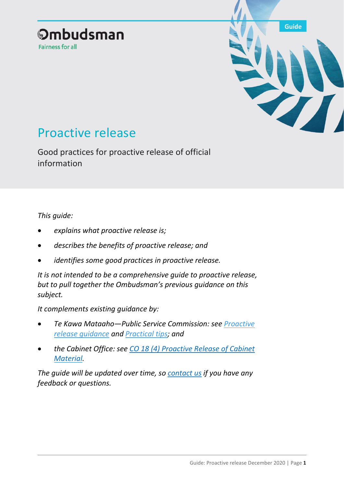## **Ombudsman** Fairness for all



# Proactive release

Good practices for proactive release of official information

### *This guide:*

- *explains what proactive release is;*
- *describes the benefits of proactive release; and*
- *identifies some good practices in proactive release.*

*It is not intended to be a comprehensive guide to proactive release, but to pull together the Ombudsman's previous guidance on this subject.* 

*It complements existing guidance by:*

- *Te Kawa Mataaho—Public Service Commission: see [Proactive](https://ssc.govt.nz/assets/Legacy/resources/oia-proactive-release-dec2017.pdf)  [release guidance](https://ssc.govt.nz/assets/Legacy/resources/oia-proactive-release-dec2017.pdf) and [Practical tips;](https://ssc.govt.nz/assets/Legacy/resources/oia-proactive-release-information-sheet.pdf) and*
- *the Cabinet Office: see [CO 18 \(4\) Proactive Release of Cabinet](https://dpmc.govt.nz/publications/co-18-4-proactive-release-cabinet-material-updated-requirements)  [Material.](https://dpmc.govt.nz/publications/co-18-4-proactive-release-cabinet-material-updated-requirements)*

*The guide will be updated over time, so [contact us](mailto:info@ombudsman.parliament.nz) if you have any feedback or questions.*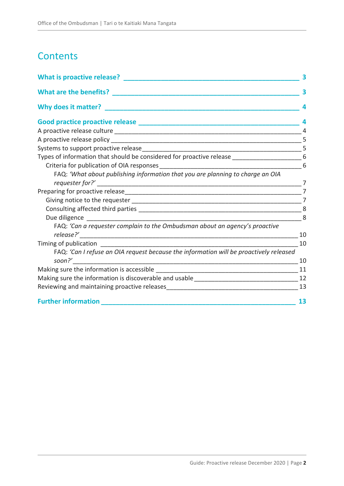## **Contents**

| Why does it matter?                                                                              |    |
|--------------------------------------------------------------------------------------------------|----|
|                                                                                                  |    |
|                                                                                                  |    |
|                                                                                                  |    |
|                                                                                                  |    |
| Types of information that should be considered for proactive release __________________________6 |    |
|                                                                                                  | 6  |
| FAQ: 'What about publishing information that you are planning to charge an OIA                   |    |
|                                                                                                  |    |
|                                                                                                  |    |
|                                                                                                  |    |
|                                                                                                  | 8  |
| $\frac{1}{2}$ 8                                                                                  |    |
| FAQ: 'Can a requester complain to the Ombudsman about an agency's proactive                      |    |
|                                                                                                  | 10 |
|                                                                                                  | 10 |
| FAQ: 'Can I refuse an OIA request because the information will be proactively released           | 10 |
|                                                                                                  |    |
|                                                                                                  |    |
|                                                                                                  | 13 |
| <b>Further information</b>                                                                       | 13 |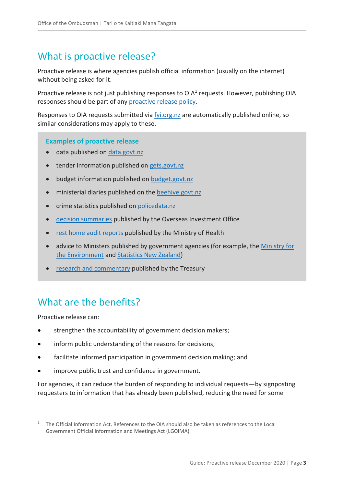## <span id="page-2-0"></span>What is proactive release?

Proactive release is where agencies publish official information (usually on the internet) without being asked for it.

Proactive release is not just publishing responses to OIA<sup>1</sup> requests. However, publishing OIA responses should be part of any [proactive release policy.](#page-4-0)

Responses to OIA requests submitted via [fyi.org.nz](http://www.fyi.org.nz/) are automatically published online, so similar considerations may apply to these.

#### **Examples of proactive release**

- data published on data.govt.nz
- tender information published on [gets.govt.nz](http://www.gets.govt.nz/)
- budget information published on [budget.govt.nz](https://budget.govt.nz/)
- ministerial diaries published on the [beehive.govt.nz](https://www.beehive.govt.nz/)
- crime statistics published on [policedata.nz](https://www.police.govt.nz/about-us/publications-statistics/data-and-statistics/policedatanz)
- [decision summaries](https://www.linz.govt.nz/overseas-investment/decision-summaries-statistics) published by the Overseas Investment Office
- [rest home audit reports](https://www.health.govt.nz/your-health/certified-providers/aged-care) published by the Ministry of Health
- advice to Ministers published by government agencies (for example, the Ministry for [the Environment](https://www.mfe.govt.nz/briefings-search) and [Statistics New Zealand\)](https://www.stats.govt.nz/about-us/what-we-do/advice-for-the-minister-of-statistics/)
- [research and commentary](https://treasury.govt.nz/publications/research-and-commentary) published by the Treasury

## <span id="page-2-1"></span>What are the benefits?

Proactive release can:

 $\overline{a}$ 

- strengthen the accountability of government decision makers;
- inform public understanding of the reasons for decisions;
- facilitate informed participation in government decision making; and
- improve public trust and confidence in government.

For agencies, it can reduce the burden of responding to individual requests—by signposting requesters to information that has already been published, reducing the need for some

<sup>&</sup>lt;sup>1</sup> The Official Information Act. References to the OIA should also be taken as references to the Local Government Official Information and Meetings Act (LGOIMA).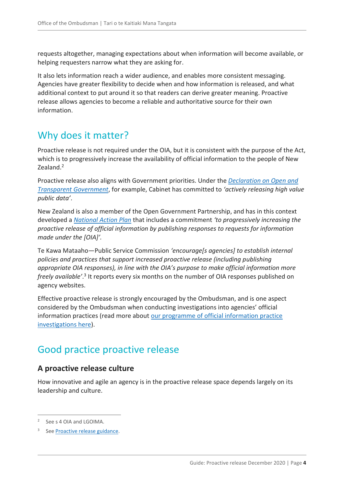requests altogether, managing expectations about when information will become available, or helping requesters narrow what they are asking for.

It also lets information reach a wider audience, and enables more consistent messaging. Agencies have greater flexibility to decide when and how information is released, and what additional context to put around it so that readers can derive greater meaning. Proactive release allows agencies to become a reliable and authoritative source for their own information.

## <span id="page-3-0"></span>Why does it matter?

Proactive release is not required under the OIA, but it is consistent with the purpose of the Act, which is to progressively increase the availability of official information to the people of New Zealand.<sup>2</sup>

Proactive release also aligns with Government priorities. Under the *[Declaration on Open and](https://www.data.govt.nz/manage-data/policies/declaration-on-open-and-transparent-government)  [Transparent Government](https://www.data.govt.nz/manage-data/policies/declaration-on-open-and-transparent-government)*, for example, Cabinet has committed to *'actively releasing high value public data'*.

New Zealand is also a member of the Open Government Partnership, and has in this context developed a *[National Action Plan](https://ogp.org.nz/assets/Publications/OGP-National-Action-Plan-2018-2020.pdf)* that includes a commitment *'to progressively increasing the proactive release of official information by publishing responses to requests for information made under the [OIA]'.*

Te Kawa Mataaho—Public Service Commission *'encourage[s agencies] to establish internal policies and practices that support increased proactive release (including publishing appropriate OIA responses), in line with the OIA's purpose to make official information more*  freely available'.<sup>3</sup> It reports every six months on the number of OIA responses published on agency websites.

Effective proactive release is strongly encouraged by the Ombudsman, and is one aspect considered by the Ombudsman when conducting investigations into agencies' official information practices (read more about [our programme of official information practice](https://www.ombudsman.parliament.nz/what-we-can-help/wider-improvement/improving-official-information-practice)  [investigations here\)](https://www.ombudsman.parliament.nz/what-we-can-help/wider-improvement/improving-official-information-practice).

## <span id="page-3-1"></span>Good practice proactive release

### <span id="page-3-2"></span>**A proactive release culture**

How innovative and agile an agency is in the proactive release space depends largely on its leadership and culture.

<sup>2</sup> See s 4 OIA and LGOIMA.

<sup>3</sup> See **Proactive release guidance**.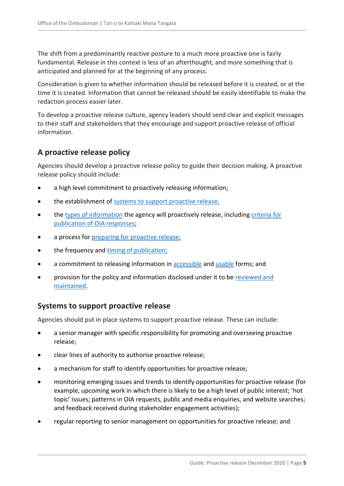The shift from a predominantly reactive posture to a much more proactive one is fairly fundamental. Release in this context is less of an afterthought, and more something that is anticipated and planned for at the beginning of any process.

Consideration is given to whether information should be released before it is created, or at the time it is created. Information that cannot be released should be easily identifiable to make the redaction process easier later.

To develop a proactive release culture, agency leaders should send clear and explicit messages to their staff and stakeholders that they encourage and support proactive release of official information.

### <span id="page-4-0"></span>**A proactive release policy**

Agencies should develop a proactive release policy to guide their decision making. A proactive release policy should include:

- a high level commitment to proactively releasing information;
- the establishment of [systems to support proactive release;](#page-4-1)
- the [types of information](#page-5-0) the agency will proactively release, including [criteria for](#page-5-1)  [publication of OIA responses;](#page-5-1)
- a process for [preparing for proactive release;](#page-6-1)
- the frequency and [timing of publication;](#page-9-1)
- a commitment to releasing information in [accessible](#page-10-0) and [usable](#page-11-0) forms; and
- provision for the policy and information disclosed under it to be [reviewed and](#page-12-0)  [maintained.](#page-12-0)

### <span id="page-4-1"></span>**Systems to support proactive release**

Agencies should put in place systems to support proactive release. These can include:

- a senior manager with specific responsibility for promoting and overseeing proactive release;
- clear lines of authority to authorise proactive release;
- a mechanism for staff to identify opportunities for proactive release;
- monitoring emerging issues and trends to identify opportunities for proactive release (for example, upcoming work in which there is likely to be a high level of public interest; 'hot topic' issues; patterns in OIA requests, public and media enquiries, and website searches; and feedback received during stakeholder engagement activities);
- regular reporting to senior management on opportunities for proactive release; and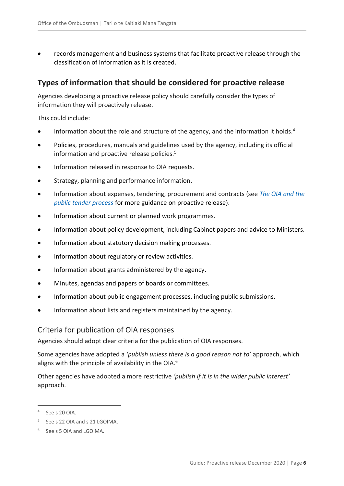records management and business systems that facilitate proactive release through the classification of information as it is created.

### <span id="page-5-0"></span>**Types of information that should be considered for proactive release**

Agencies developing a proactive release policy should carefully consider the types of information they will proactively release.

This could include:

- Information about the role and structure of the agency, and the information it holds.<sup>4</sup>
- Policies, procedures, manuals and guidelines used by the agency, including its official information and proactive release policies.<sup>5</sup>
- Information released in response to OIA requests.
- Strategy, planning and performance information.
- Information about expenses, tendering, procurement and contracts (see *[The OIA and the](https://www.ombudsman.parliament.nz/resources/oia-and-public-tender-process)  [public tender process](https://www.ombudsman.parliament.nz/resources/oia-and-public-tender-process)* for more guidance on proactive release).
- Information about current or planned work programmes.
- Information about policy development, including Cabinet papers and advice to Ministers.
- Information about statutory decision making processes.
- Information about regulatory or review activities.
- Information about grants administered by the agency.
- Minutes, agendas and papers of boards or committees.
- Information about public engagement processes, including public submissions.
- Information about lists and registers maintained by the agency.

#### <span id="page-5-1"></span>Criteria for publication of OIA responses

Agencies should adopt clear criteria for the publication of OIA responses.

Some agencies have adopted a *'publish unless there is a good reason not to'* approach, which aligns with the principle of availability in the OIA.<sup>6</sup>

Other agencies have adopted a more restrictive *'publish if it is in the wider public interest'* approach.

<sup>4</sup> See s 20 OIA.

<sup>&</sup>lt;sup>5</sup> See s 22 OIA and s 21 LGOIMA.

<sup>&</sup>lt;sup>6</sup> See s 5 OIA and LGOIMA.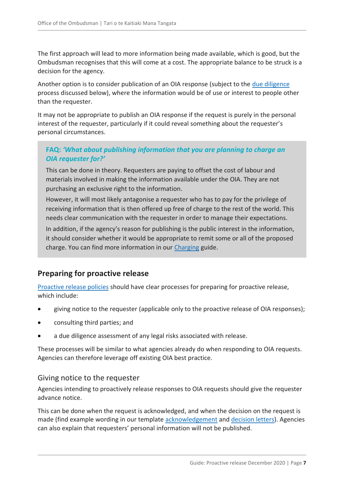The first approach will lead to more information being made available, which is good, but the Ombudsman recognises that this will come at a cost. The appropriate balance to be struck is a decision for the agency.

Another option is to consider publication of an OIA response (subject to the [due diligence](#page-7-1) process discussed below), where the information would be of use or interest to people other than the requester.

It may not be appropriate to publish an OIA response if the request is purely in the personal interest of the requester, particularly if it could reveal something about the requester's personal circumstances.

#### <span id="page-6-0"></span>**FAQ:** *'What about publishing information that you are planning to charge an OIA requester for?'*

This can be done in theory. Requesters are paying to offset the cost of labour and materials involved in making the information available under the OIA. They are not purchasing an exclusive right to the information.

However, it will most likely antagonise a requester who has to pay for the privilege of receiving information that is then offered up free of charge to the rest of the world. This needs clear communication with the requester in order to manage their expectations.

In addition, if the agency's reason for publishing is the public interest in the information, it should consider whether it would be appropriate to remit some or all of the proposed charge. You can find more information in our [Charging](https://www.ombudsman.parliament.nz/resources/charging-guide-charging-official-information-under-oia-and-lgoima) guide.

## <span id="page-6-1"></span>**Preparing for proactive release**

[Proactive release policies](#page-4-0) should have clear processes for preparing for proactive release, which include:

- giving notice to the requester (applicable only to the proactive release of OIA responses);
- consulting third parties; and
- a due diligence assessment of any legal risks associated with release.

These processes will be similar to what agencies already do when responding to OIA requests. Agencies can therefore leverage off existing OIA best practice.

#### <span id="page-6-2"></span>Giving notice to the requester

Agencies intending to proactively release responses to OIA requests should give the requester advance notice.

This can be done when the request is acknowledged, and when the decision on the request is made (find example wording in our template [acknowledgement](https://www.ombudsman.parliament.nz/resources/template-letter-1-acknowledgement-letter) and [decision](https://www.ombudsman.parliament.nz/resources/template-letter-6-letter-communicating-decision-request) letters). Agencies can also explain that requesters' personal information will not be published.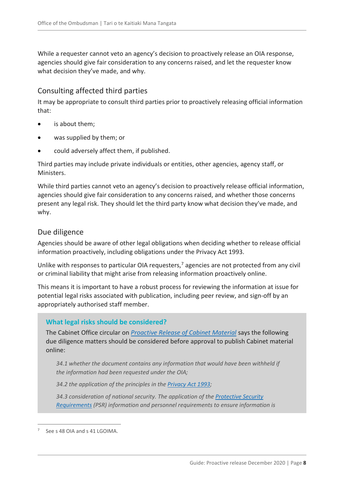While a requester cannot veto an agency's decision to proactively release an OIA response, agencies should give fair consideration to any concerns raised, and let the requester know what decision they've made, and why.

#### <span id="page-7-0"></span>Consulting affected third parties

It may be appropriate to consult third parties prior to proactively releasing official information that:

- is about them;
- was supplied by them; or
- could adversely affect them, if published.

Third parties may include private individuals or entities, other agencies, agency staff, or Ministers.

While third parties cannot veto an agency's decision to proactively release official information, agencies should give fair consideration to any concerns raised, and whether those concerns present any legal risk. They should let the third party know what decision they've made, and why.

#### <span id="page-7-1"></span>Due diligence

Agencies should be aware of other legal obligations when deciding whether to release official information proactively, including obligations under the Privacy Act 1993.

Unlike with responses to particular OIA requesters,<sup>7</sup> agencies are not protected from any civil or criminal liability that might arise from releasing information proactively online.

This means it is important to have a robust process for reviewing the information at issue for potential legal risks associated with publication, including peer review, and sign-off by an appropriately authorised staff member.

#### **What legal risks should be considered?**

The Cabinet Office circular on *[Proactive Release of Cabinet Material](https://dpmc.govt.nz/publications/co-18-4-proactive-release-cabinet-material-updated-requirements)* says the following due diligence matters should be considered before approval to publish Cabinet material online:

*34.1 whether the document contains any information that would have been withheld if the information had been requested under the OIA;*

*34.2 the application of the principles in the [Privacy Act 1993;](http://www.legislation.govt.nz/act/public/1993/0028/232.0/DLM296639.html)*

*34.3 consideration of national security. The application of th[e Protective Security](https://www.protectivesecurity.govt.nz/)  [Requirements](https://www.protectivesecurity.govt.nz/) (PSR) information and personnel requirements to ensure information is* 

<sup>7</sup> See s 48 OIA and s 41 LGOIMA.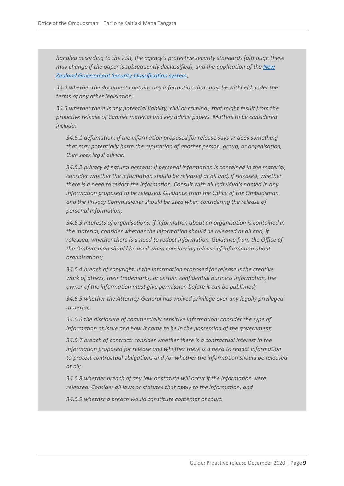*handled according to the PSR, the agency's protective security standards (although these may change if the paper is subsequently declassified), and the application of th[e New](https://www.protectivesecurity.govt.nz/information-security/classification-system-and-handling-requirements/classification-system/)  [Zealand Government Security Classification system;](https://www.protectivesecurity.govt.nz/information-security/classification-system-and-handling-requirements/classification-system/)*

*34.4 whether the document contains any information that must be withheld under the terms of any other legislation;*

*34.5 whether there is any potential liability, civil or criminal, that might result from the proactive release of Cabinet material and key advice papers. Matters to be considered include:*

*34.5.1 defamation: if the information proposed for release says or does something that may potentially harm the reputation of another person, group, or organisation, then seek legal advice;*

*34.5.2 privacy of natural persons: if personal information is contained in the material, consider whether the information should be released at all and, if released, whether there is a need to redact the information. Consult with all individuals named in any information proposed to be released. Guidance from the Office of the Ombudsman and the Privacy Commissioner should be used when considering the release of personal information;*

*34.5.3 interests of organisations: if information about an organisation is contained in the material, consider whether the information should be released at all and, if released, whether there is a need to redact information. Guidance from the Office of the Ombudsman should be used when considering release of information about organisations;*

*34.5.4 breach of copyright: if the information proposed for release is the creative work of others, their trademarks, or certain confidential business information, the owner of the information must give permission before it can be published;*

*34.5.5 whether the Attorney-General has waived privilege over any legally privileged material;*

*34.5.6 the disclosure of commercially sensitive information: consider the type of information at issue and how it came to be in the possession of the government;*

*34.5.7 breach of contract: consider whether there is a contractual interest in the information proposed for release and whether there is a need to redact information to protect contractual obligations and /or whether the information should be released at all;*

*34.5.8 whether breach of any law or statute will occur if the information were released. Consider all laws or statutes that apply to the information; and*

*34.5.9 whether a breach would constitute contempt of court.*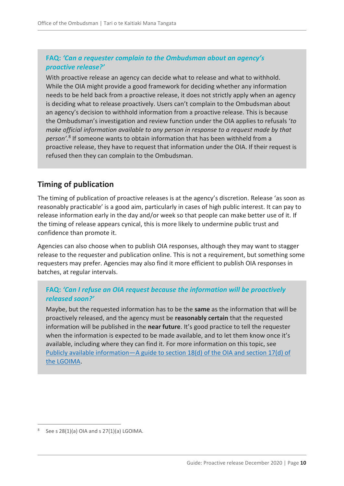#### <span id="page-9-0"></span>**FAQ:** *'Can a requester complain to the Ombudsman about an agency's proactive release?'*

With proactive release an agency can decide what to release and what to withhold. While the OIA might provide a good framework for deciding whether any information needs to be held back from a proactive release, it does not strictly apply when an agency is deciding what to release proactively. Users can't complain to the Ombudsman about an agency's decision to withhold information from a proactive release. This is because the Ombudsman's investigation and review function under the OIA applies to refusals '*to make official information available to any person in response to a request made by that person'.*<sup>8</sup> If someone wants to obtain information that has been withheld from a proactive release, they have to request that information under the OIA. If their request is refused then they can complain to the Ombudsman.

### <span id="page-9-1"></span>**Timing of publication**

The timing of publication of proactive releases is at the agency's discretion. Release 'as soon as reasonably practicable' is a good aim, particularly in cases of high public interest. It can pay to release information early in the day and/or week so that people can make better use of it. If the timing of release appears cynical, this is more likely to undermine public trust and confidence than promote it.

Agencies can also choose when to publish OIA responses, although they may want to stagger release to the requester and publication online. This is not a requirement, but something some requesters may prefer. Agencies may also find it more efficient to publish OIA responses in batches, at regular intervals.

#### <span id="page-9-2"></span>**FAQ:** *'Can I refuse an OIA request because the information will be proactively released soon?'*

Maybe, but the requested information has to be the **same** as the information that will be proactively released, and the agency must be **reasonably certain** that the requested information will be published in the **near future**. It's good practice to tell the requester when the information is expected to be made available, and to let them know once it's available, including where they can find it. For more information on this topic, see Publicly available information—[A guide to section 18\(d\) of the OIA and section 17\(d\) of](https://www.ombudsman.parliament.nz/resources/publicly-available-information-guide-section-18d-oia-and-section-17d-lgoima)  [the LGOIMA.](https://www.ombudsman.parliament.nz/resources/publicly-available-information-guide-section-18d-oia-and-section-17d-lgoima)

<sup>8</sup> See s 28(1)(a) OIA and s 27(1)(a) LGOIMA.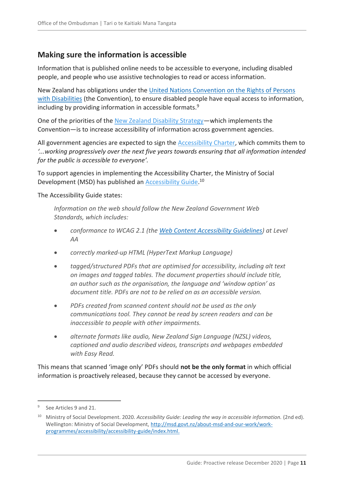## <span id="page-10-0"></span>**Making sure the information is accessible**

Information that is published online needs to be accessible to everyone, including disabled people, and people who use assistive technologies to read or access information.

New Zealand has obligations under the United Nations Convention on the Rights of Persons with [Disabilities](https://www.un.org/development/desa/disabilities/convention-on-the-rights-of-persons-with-disabilities.html) (the Convention), to ensure disabled people have equal access to information, including by providing information in accessible formats.<sup>9</sup>

One of the priorities of the [New Zealand Disability Strategy](https://www.odi.govt.nz/nz-disability-strategy/)—which implements the Convention—is to increase accessibility of information across government agencies.

All government agencies are expected to sign the **Accessibility Charter**, which commits them to *'...working progressively over the next five years towards ensuring that all information intended for the public is accessible to everyone'.*

To support agencies in implementing the Accessibility Charter, the Ministry of Social Development (MSD) has published an **Accessibility Guide.**<sup>10</sup>

The Accessibility Guide states:

*Information on the web should follow the New Zealand Government Web Standards, which includes:*

- *conformance to WCAG 2.1 (the [Web Content Accessibility Guidelines\)](http://www.w3.org/TR/WCAG21/) at Level AA*
- *correctly marked-up HTML (HyperText Markup Language)*
- *tagged/structured PDFs that are optimised for accessibility, including alt text on images and tagged tables. The document properties should include title, an author such as the organisation, the language and 'window option' as document title. PDFs are not to be relied on as an accessible version.*
- *PDFs created from scanned content should not be used as the only communications tool. They cannot be read by screen readers and can be inaccessible to people with other impairments.*
- *alternate formats like audio, New Zealand Sign Language (NZSL) videos, captioned and audio described videos, transcripts and webpages embedded with Easy Read.*

This means that scanned 'image only' PDFs should **not be the only format** in which official information is proactively released, because they cannot be accessed by everyone.

<sup>9</sup> See Articles 9 and 21.

<sup>10</sup> Ministry of Social Development. 2020. *Accessibility Guide: Leading the way in accessible information.* (2nd ed). Wellington: Ministry of Social Development, [http://msd.govt.nz/about-msd-and-our-work/work](http://msd.govt.nz/about-msd-and-our-work/work-programmes/accessibility/accessibility-guide/index.html)[programmes/accessibility/accessibility-guide/index.html.](http://msd.govt.nz/about-msd-and-our-work/work-programmes/accessibility/accessibility-guide/index.html)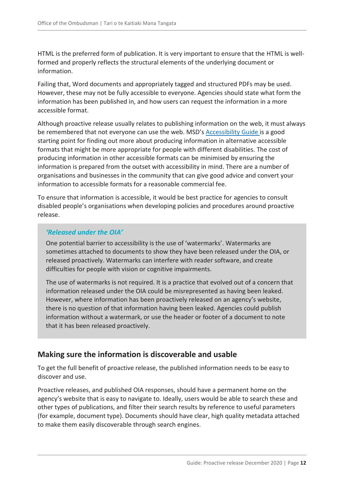HTML is the preferred form of publication. It is very important to ensure that the HTML is wellformed and properly reflects the structural elements of the underlying document or information.

Failing that, Word documents and appropriately tagged and structured PDFs may be used. However, these may not be fully accessible to everyone. Agencies should state what form the information has been published in, and how users can request the information in a more accessible format.

Although proactive release usually relates to publishing information on the web, it must always be remembered that not everyone can use the web. MSD's **[Accessibility Guide](https://www.msd.govt.nz/about-msd-and-our-work/work-programmes/accessibility/accessibility-guide/index.html)** is a good starting point for finding out more about producing information in alternative accessible formats that might be more appropriate for people with different disabilities. The cost of producing information in other accessible formats can be minimised by ensuring the information is prepared from the outset with accessibility in mind. There are a number of organisations and businesses in the community that can give good advice and convert your information to accessible formats for a reasonable commercial fee.

To ensure that information is accessible, it would be best practice for agencies to consult disabled people's organisations when developing policies and procedures around proactive release.

#### *'Released under the OIA'*

One potential barrier to accessibility is the use of 'watermarks'. Watermarks are sometimes attached to documents to show they have been released under the OIA, or released proactively. Watermarks can interfere with reader software, and create difficulties for people with vision or cognitive impairments.

The use of watermarks is not required. It is a practice that evolved out of a concern that information released under the OIA could be misrepresented as having been leaked. However, where information has been proactively released on an agency's website, there is no question of that information having been leaked. Agencies could publish information without a watermark, or use the header or footer of a document to note that it has been released proactively.

### <span id="page-11-0"></span>**Making sure the information is discoverable and usable**

To get the full benefit of proactive release, the published information needs to be easy to discover and use.

Proactive releases, and published OIA responses, should have a permanent home on the agency's website that is easy to navigate to. Ideally, users would be able to search these and other types of publications, and filter their search results by reference to useful parameters (for example, document type). Documents should have clear, high quality metadata attached to make them easily discoverable through search engines.